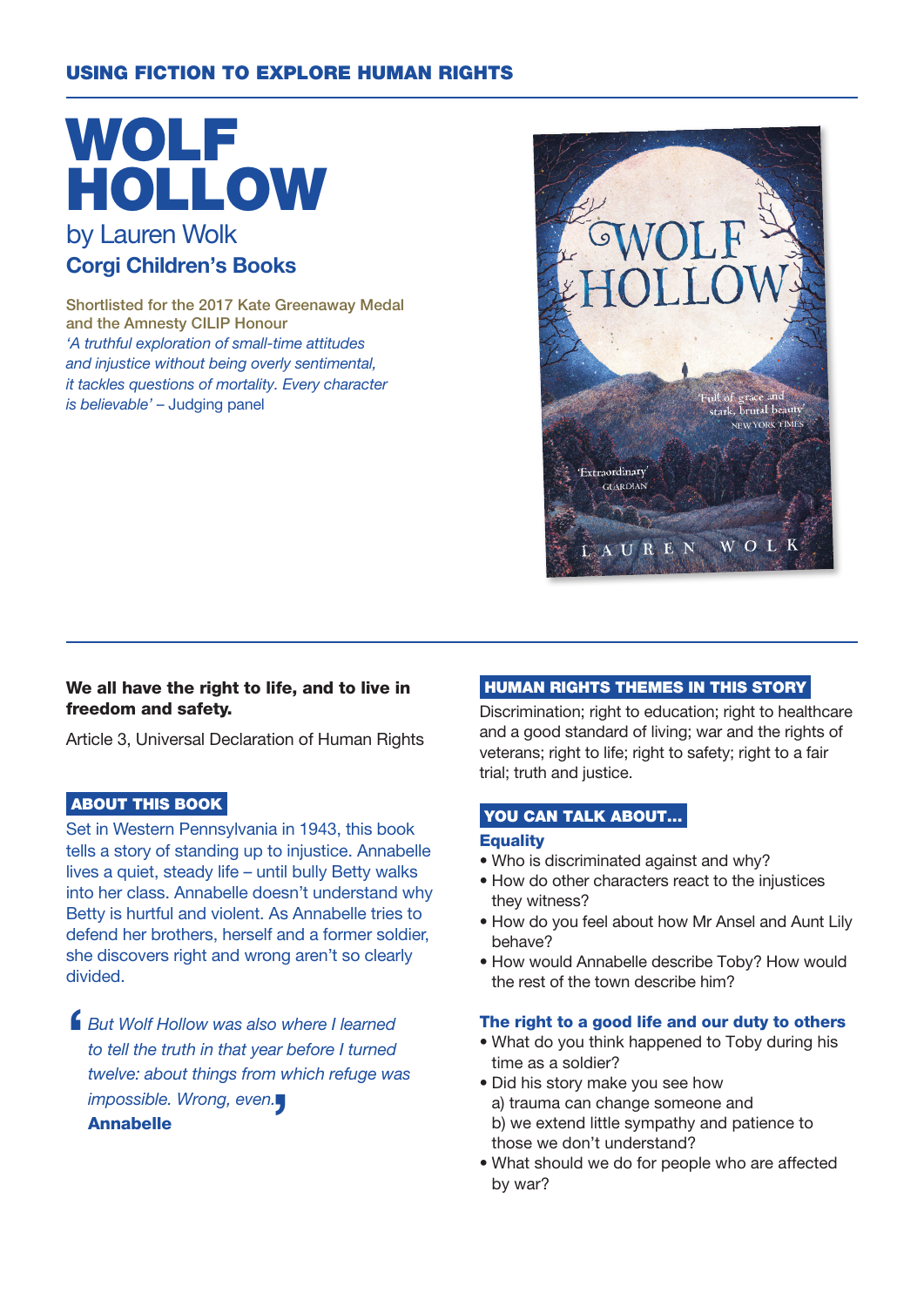# USING FICTION TO EXPLORE HUMAN RIGHTS

# WOLF HOLLOW by Lauren Wolk Corgi Children's Books

Shortlisted for the 2017 Kate Greenaway Medal and the Amnesty CILIP Honour 'A truthful exploration of small-time attitudes and injustice without being overly sentimental, it tackles questions of mortality. Every character is believable' – Judging panel



## We all have the right to life, and to live in freedom and safety.

Article 3, Universal Declaration of Human Rights

## ABOUT THIS BOOK

Set in Western Pennsylvania in 1943, this book tells a story of standing up to injustice. Annabelle lives a quiet, steady life – until bully Betty walks into her class. Annabelle doesn't understand why Betty is hurtful and violent. As Annabelle tries to defend her brothers, herself and a former soldier, she discovers right and wrong aren't so clearly divided.

 $\blacksquare$ But Wolf Hollow was also where I learned to tell the truth in that year before I turned twelve: about things from which refuge was impossible. Wrong, even.

## Annabelle

## HUMAN RIGHTS THEMES IN THIS STORY

Discrimination; right to education; right to healthcare and a good standard of living; war and the rights of veterans; right to life; right to safety; right to a fair trial; truth and justice.

#### YOU CAN TALK ABOUT...

#### **Equality**

- Who is discriminated against and why?
- How do other characters react to the injustices they witness?
- How do you feel about how Mr Ansel and Aunt Lily behave?
- How would Annabelle describe Toby? How would the rest of the town describe him?

## The right to a good life and our duty to others

- What do you think happened to Toby during his time as a soldier?
- Did his story make you see how a) trauma can change someone and b) we extend little sympathy and patience to those we don't understand?
- What should we do for people who are affected by war?